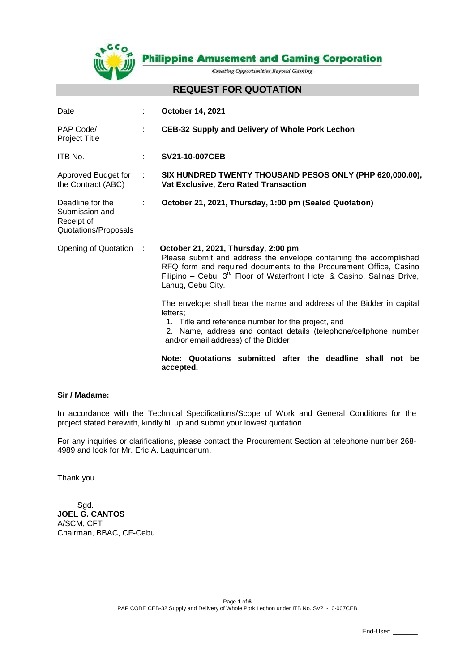

**Philippine Amusement and Gaming Corporation** 

**Creating Opportunities Beyond Gaming** 

#### **REQUEST FOR QUOTATION**

| Date                                                                     |                                                                                                                                                                                                                                                                                             | <b>October 14, 2021</b>                                                                                                                                                                                                                            |  |
|--------------------------------------------------------------------------|---------------------------------------------------------------------------------------------------------------------------------------------------------------------------------------------------------------------------------------------------------------------------------------------|----------------------------------------------------------------------------------------------------------------------------------------------------------------------------------------------------------------------------------------------------|--|
| PAP Code/<br>Project Title                                               | ÷                                                                                                                                                                                                                                                                                           | <b>CEB-32 Supply and Delivery of Whole Pork Lechon</b>                                                                                                                                                                                             |  |
| ITB No.                                                                  | ÷.                                                                                                                                                                                                                                                                                          | <b>SV21-10-007CEB</b>                                                                                                                                                                                                                              |  |
| Approved Budget for<br>the Contract (ABC)                                | ÷                                                                                                                                                                                                                                                                                           | SIX HUNDRED TWENTY THOUSAND PESOS ONLY (PHP 620,000.00),<br>Vat Exclusive, Zero Rated Transaction                                                                                                                                                  |  |
| Deadline for the<br>Submission and<br>Receipt of<br>Quotations/Proposals |                                                                                                                                                                                                                                                                                             | October 21, 2021, Thursday, 1:00 pm (Sealed Quotation)                                                                                                                                                                                             |  |
| Opening of Quotation                                                     | October 21, 2021, Thursday, 2:00 pm<br>- 11<br>Please submit and address the envelope containing the accomplished<br>RFQ form and required documents to the Procurement Office, Casino<br>Filipino – Cebu, $3^{rd}$ Floor of Waterfront Hotel & Casino, Salinas Drive,<br>Lahug, Cebu City. |                                                                                                                                                                                                                                                    |  |
|                                                                          |                                                                                                                                                                                                                                                                                             | The envelope shall bear the name and address of the Bidder in capital<br>letters:<br>1. Title and reference number for the project, and<br>2. Name, address and contact details (telephone/cellphone number<br>and/or email address) of the Bidder |  |
|                                                                          |                                                                                                                                                                                                                                                                                             | Note: Quotations submitted after the deadline shall<br>not be<br>accepted.                                                                                                                                                                         |  |

#### **Sir / Madame:**

In accordance with the Technical Specifications/Scope of Work and General Conditions for the project stated herewith, kindly fill up and submit your lowest quotation.

For any inquiries or clarifications, please contact the Procurement Section at telephone number 268- 4989 and look for Mr. Eric A. Laquindanum.

Thank you.

 Sgd. **JOEL G. CANTOS** A/SCM, CFT Chairman, BBAC, CF-Cebu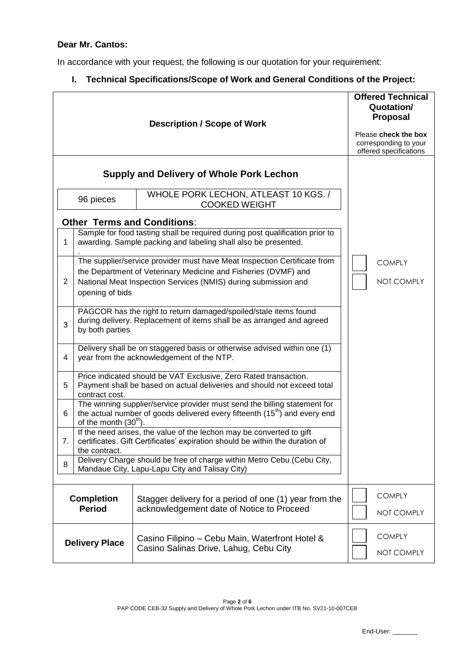## **Dear Mr. Cantos:**

In accordance with your request, the following is our quotation for your requirement:

# **I. Technical Specifications/Scope of Work and General Conditions of the Project:**

|                                    |                                                                                                                                                                                                | <b>Offered Technical</b><br>Quotation/<br><b>Proposal</b><br>Please check the box<br>corresponding to your<br>offered specifications                                                                         |                                    |  |  |  |
|------------------------------------|------------------------------------------------------------------------------------------------------------------------------------------------------------------------------------------------|--------------------------------------------------------------------------------------------------------------------------------------------------------------------------------------------------------------|------------------------------------|--|--|--|
|                                    | <b>Supply and Delivery of Whole Pork Lechon</b>                                                                                                                                                |                                                                                                                                                                                                              |                                    |  |  |  |
|                                    | 96 pieces                                                                                                                                                                                      | WHOLE PORK LECHON, ATLEAST 10 KGS. /<br><b>COOKED WEIGHT</b>                                                                                                                                                 |                                    |  |  |  |
|                                    |                                                                                                                                                                                                | <b>Other Terms and Conditions:</b>                                                                                                                                                                           |                                    |  |  |  |
| 1                                  | Sample for food tasting shall be required during post qualification prior to<br>awarding. Sample packing and labeling shall also be presented.                                                 |                                                                                                                                                                                                              |                                    |  |  |  |
| 2                                  | opening of bids                                                                                                                                                                                | The supplier/service provider must have Meat Inspection Certificate from<br>the Department of Veterinary Medicine and Fisheries (DVMF) and<br>National Meat Inspection Services (NMIS) during submission and | <b>COMPLY</b><br>NOT COMPLY        |  |  |  |
| 3                                  | PAGCOR has the right to return damaged/spoiled/stale items found<br>during delivery. Replacement of items shall be as arranged and agreed<br>by both parties                                   |                                                                                                                                                                                                              |                                    |  |  |  |
| 4                                  | Delivery shall be on staggered basis or otherwise advised within one (1)<br>year from the acknowledgement of the NTP.                                                                          |                                                                                                                                                                                                              |                                    |  |  |  |
| 5                                  | Price indicated should be VAT Exclusive, Zero Rated transaction.<br>Payment shall be based on actual deliveries and should not exceed total<br>contract cost.                                  |                                                                                                                                                                                                              |                                    |  |  |  |
| 6                                  | The winning supplier/service provider must send the billing statement for<br>the actual number of goods delivered every fifteenth (15 <sup>th</sup> ) and every end<br>of the month $(30th)$ . |                                                                                                                                                                                                              |                                    |  |  |  |
| 7.                                 | If the need arises, the value of the lechon may be converted to gift<br>certificates. Gift Certificates' expiration should be within the duration of<br>the contract.                          |                                                                                                                                                                                                              |                                    |  |  |  |
| 8                                  |                                                                                                                                                                                                | Delivery Charge should be free of charge within Metro Cebu (Cebu City,<br>Mandaue City, Lapu-Lapu City and Talisay City)                                                                                     |                                    |  |  |  |
| <b>Completion</b><br><b>Period</b> |                                                                                                                                                                                                | Stagger delivery for a period of one (1) year from the<br>acknowledgement date of Notice to Proceed                                                                                                          | <b>COMPLY</b><br><b>NOT COMPLY</b> |  |  |  |
| <b>Delivery Place</b>              |                                                                                                                                                                                                | Casino Filipino - Cebu Main, Waterfront Hotel &<br>Casino Salinas Drive, Lahug, Cebu City                                                                                                                    | <b>COMPLY</b><br>NOT COMPLY        |  |  |  |

End-User: \_\_\_\_\_\_\_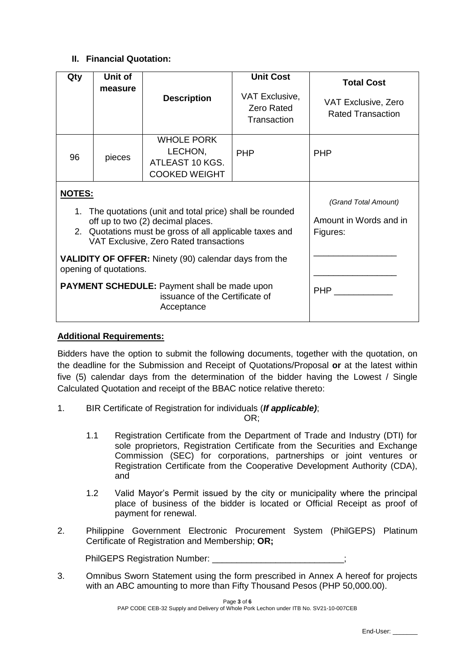## **II. Financial Quotation:**

| Qty           | Unit of<br>measure                                                                                                                                                                                                                                                                                                                                   | <b>Description</b>                                                      | <b>Unit Cost</b><br>VAT Exclusive,<br><b>Zero Rated</b><br>Transaction | <b>Total Cost</b><br>VAT Exclusive, Zero<br><b>Rated Transaction</b> |
|---------------|------------------------------------------------------------------------------------------------------------------------------------------------------------------------------------------------------------------------------------------------------------------------------------------------------------------------------------------------------|-------------------------------------------------------------------------|------------------------------------------------------------------------|----------------------------------------------------------------------|
| 96            | pieces                                                                                                                                                                                                                                                                                                                                               | <b>WHOLE PORK</b><br>LECHON,<br>ATLEAST 10 KGS.<br><b>COOKED WEIGHT</b> | <b>PHP</b>                                                             | <b>PHP</b>                                                           |
| <u>NOTES:</u> | 1. The quotations (unit and total price) shall be rounded<br>off up to two (2) decimal places.<br>2. Quotations must be gross of all applicable taxes and<br>VAT Exclusive, Zero Rated transactions<br><b>VALIDITY OF OFFER:</b> Ninety (90) calendar days from the<br>opening of quotations.<br><b>PAYMENT SCHEDULE:</b> Payment shall be made upon | (Grand Total Amount)<br>Amount in Words and in<br>Figures:<br>PHP       |                                                                        |                                                                      |

## **Additional Requirements:**

Bidders have the option to submit the following documents, together with the quotation, on the deadline for the Submission and Receipt of Quotations/Proposal **or** at the latest within five (5) calendar days from the determination of the bidder having the Lowest / Single Calculated Quotation and receipt of the BBAC notice relative thereto:

1. BIR Certificate of Registration for individuals (*If applicable)*;

OR;

- 1.1 Registration Certificate from the Department of Trade and Industry (DTI) for sole proprietors, Registration Certificate from the Securities and Exchange Commission (SEC) for corporations, partnerships or joint ventures or Registration Certificate from the Cooperative Development Authority (CDA), and
- 1.2 Valid Mayor's Permit issued by the city or municipality where the principal place of business of the bidder is located or Official Receipt as proof of payment for renewal.
- 2. Philippine Government Electronic Procurement System (PhilGEPS) Platinum Certificate of Registration and Membership; **OR;**

PhilGEPS Registration Number:

3. Omnibus Sworn Statement using the form prescribed in Annex A hereof for projects with an ABC amounting to more than Fifty Thousand Pesos (PHP 50,000.00).

> Page **3** of **6** PAP CODE CEB-32 Supply and Delivery of Whole Pork Lechon under ITB No. SV21-10-007CEB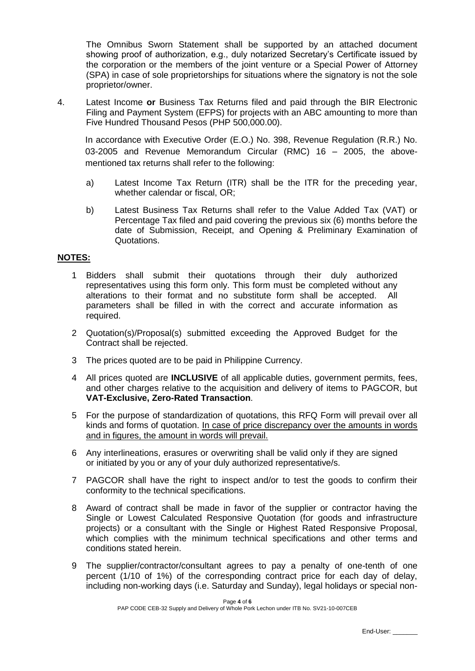The Omnibus Sworn Statement shall be supported by an attached document showing proof of authorization, e.g., duly notarized Secretary's Certificate issued by the corporation or the members of the joint venture or a Special Power of Attorney (SPA) in case of sole proprietorships for situations where the signatory is not the sole proprietor/owner.

4. Latest Income **or** Business Tax Returns filed and paid through the BIR Electronic Filing and Payment System (EFPS) for projects with an ABC amounting to more than Five Hundred Thousand Pesos (PHP 500,000.00).

In accordance with Executive Order (E.O.) No. 398, Revenue Regulation (R.R.) No. 03-2005 and Revenue Memorandum Circular (RMC) 16 – 2005, the abovementioned tax returns shall refer to the following:

- a) Latest Income Tax Return (ITR) shall be the ITR for the preceding year, whether calendar or fiscal, OR;
- b) Latest Business Tax Returns shall refer to the Value Added Tax (VAT) or Percentage Tax filed and paid covering the previous six (6) months before the date of Submission, Receipt, and Opening & Preliminary Examination of Quotations.

#### **NOTES:**

- 1 Bidders shall submit their quotations through their duly authorized representatives using this form only. This form must be completed without any alterations to their format and no substitute form shall be accepted. All parameters shall be filled in with the correct and accurate information as required.
- 2 Quotation(s)/Proposal(s) submitted exceeding the Approved Budget for the Contract shall be rejected.
- 3 The prices quoted are to be paid in Philippine Currency.
- 4 All prices quoted are **INCLUSIVE** of all applicable duties, government permits, fees, and other charges relative to the acquisition and delivery of items to PAGCOR, but **VAT-Exclusive, Zero-Rated Transaction**.
- 5 For the purpose of standardization of quotations, this RFQ Form will prevail over all kinds and forms of quotation. In case of price discrepancy over the amounts in words and in figures, the amount in words will prevail.
- 6 Any interlineations, erasures or overwriting shall be valid only if they are signed or initiated by you or any of your duly authorized representative/s.
- 7 PAGCOR shall have the right to inspect and/or to test the goods to confirm their conformity to the technical specifications.
- 8 Award of contract shall be made in favor of the supplier or contractor having the Single or Lowest Calculated Responsive Quotation (for goods and infrastructure projects) or a consultant with the Single or Highest Rated Responsive Proposal, which complies with the minimum technical specifications and other terms and conditions stated herein.
- 9 The supplier/contractor/consultant agrees to pay a penalty of one-tenth of one percent (1/10 of 1%) of the corresponding contract price for each day of delay, including non-working days (i.e. Saturday and Sunday), legal holidays or special non-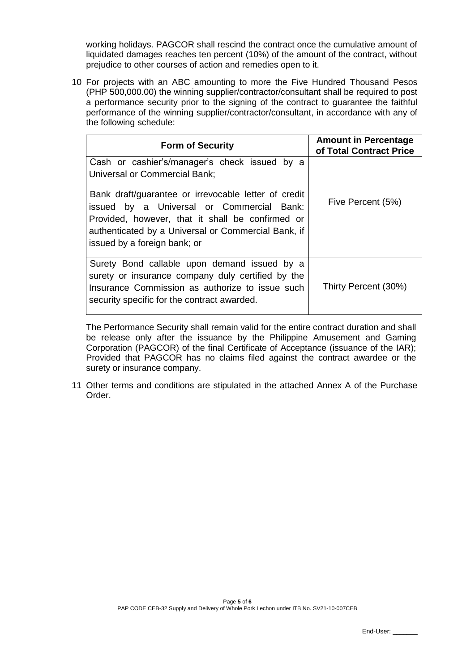working holidays. PAGCOR shall rescind the contract once the cumulative amount of liquidated damages reaches ten percent (10%) of the amount of the contract, without prejudice to other courses of action and remedies open to it.

10 For projects with an ABC amounting to more the Five Hundred Thousand Pesos (PHP 500,000.00) the winning supplier/contractor/consultant shall be required to post a performance security prior to the signing of the contract to guarantee the faithful performance of the winning supplier/contractor/consultant, in accordance with any of the following schedule:

| <b>Form of Security</b>                                                                                                                                                                                                                      | <b>Amount in Percentage</b><br>of Total Contract Price |
|----------------------------------------------------------------------------------------------------------------------------------------------------------------------------------------------------------------------------------------------|--------------------------------------------------------|
| Cash or cashier's/manager's check issued by a<br><b>Universal or Commercial Bank;</b>                                                                                                                                                        |                                                        |
| Bank draft/guarantee or irrevocable letter of credit<br>issued by a Universal or Commercial Bank:<br>Provided, however, that it shall be confirmed or<br>authenticated by a Universal or Commercial Bank, if<br>issued by a foreign bank; or | Five Percent (5%)                                      |
| Surety Bond callable upon demand issued by a<br>surety or insurance company duly certified by the<br>Insurance Commission as authorize to issue such<br>security specific for the contract awarded.                                          | Thirty Percent (30%)                                   |

The Performance Security shall remain valid for the entire contract duration and shall be release only after the issuance by the Philippine Amusement and Gaming Corporation (PAGCOR) of the final Certificate of Acceptance (issuance of the IAR); Provided that PAGCOR has no claims filed against the contract awardee or the surety or insurance company.

11 Other terms and conditions are stipulated in the attached Annex A of the Purchase Order.